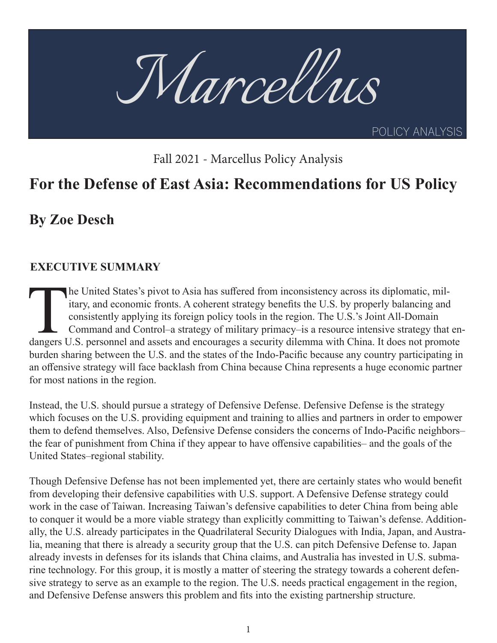

Fall 2021 - Marcellus Policy Analysis

# **For the Defense of East Asia: Recommendations for US Policy**

**By Zoe Desch**

### **EXECUTIVE SUMMARY**

The United States's pivot to Asia has suffered from inconsistency across its diplomatic, military, and economic fronts. A coherent strategy benefits the U.S. by properly balancing and consistently applying its foreign poli itary, and economic fronts. A coherent strategy benefits the U.S. by properly balancing and consistently applying its foreign policy tools in the region. The U.S.'s Joint All-Domain Command and Control–a strategy of military primacy–is a resource intensive strategy that enburden sharing between the U.S. and the states of the Indo-Pacific because any country participating in an offensive strategy will face backlash from China because China represents a huge economic partner for most nations in the region.

Instead, the U.S. should pursue a strategy of Defensive Defense. Defensive Defense is the strategy which focuses on the U.S. providing equipment and training to allies and partners in order to empower them to defend themselves. Also, Defensive Defense considers the concerns of Indo-Pacific neighbors– the fear of punishment from China if they appear to have offensive capabilities– and the goals of the United States–regional stability.

Though Defensive Defense has not been implemented yet, there are certainly states who would benefit from developing their defensive capabilities with U.S. support. A Defensive Defense strategy could work in the case of Taiwan. Increasing Taiwan's defensive capabilities to deter China from being able to conquer it would be a more viable strategy than explicitly committing to Taiwan's defense. Additionally, the U.S. already participates in the Quadrilateral Security Dialogues with India, Japan, and Australia, meaning that there is already a security group that the U.S. can pitch Defensive Defense to. Japan already invests in defenses for its islands that China claims, and Australia has invested in U.S. submarine technology. For this group, it is mostly a matter of steering the strategy towards a coherent defensive strategy to serve as an example to the region. The U.S. needs practical engagement in the region, and Defensive Defense answers this problem and fits into the existing partnership structure.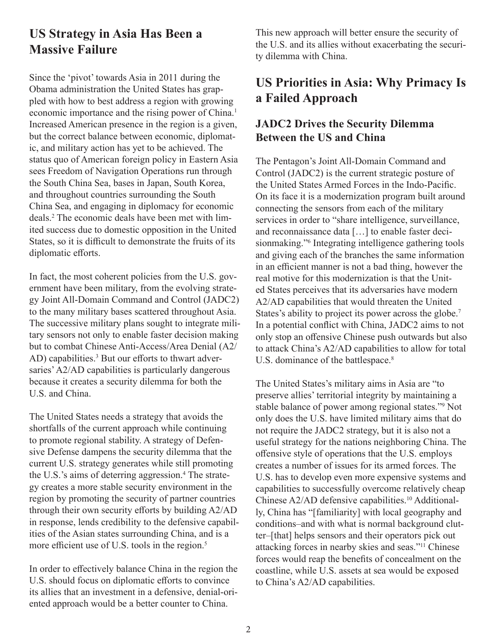### **US Strategy in Asia Has Been a Massive Failure**

Since the 'pivot' towards Asia in 2011 during the Obama administration the United States has grappled with how to best address a region with growing economic importance and the rising power of China.<sup>1</sup> Increased American presence in the region is a given, but the correct balance between economic, diplomatic, and military action has yet to be achieved. The status quo of American foreign policy in Eastern Asia sees Freedom of Navigation Operations run through the South China Sea, bases in Japan, South Korea, and throughout countries surrounding the South China Sea, and engaging in diplomacy for economic deals.2 The economic deals have been met with limited success due to domestic opposition in the United States, so it is difficult to demonstrate the fruits of its diplomatic efforts.

In fact, the most coherent policies from the U.S. government have been military, from the evolving strategy Joint All-Domain Command and Control (JADC2) to the many military bases scattered throughout Asia. The successive military plans sought to integrate military sensors not only to enable faster decision making but to combat Chinese Anti-Access/Area Denial (A2/ AD) capabilities.<sup>3</sup> But our efforts to thwart adversaries' A2/AD capabilities is particularly dangerous because it creates a security dilemma for both the U.S. and China.

The United States needs a strategy that avoids the shortfalls of the current approach while continuing to promote regional stability. A strategy of Defensive Defense dampens the security dilemma that the current U.S. strategy generates while still promoting the U.S.'s aims of deterring aggression.<sup>4</sup> The strategy creates a more stable security environment in the region by promoting the security of partner countries through their own security efforts by building A2/AD in response, lends credibility to the defensive capabilities of the Asian states surrounding China, and is a more efficient use of U.S. tools in the region.<sup>5</sup>

In order to effectively balance China in the region the U.S. should focus on diplomatic efforts to convince its allies that an investment in a defensive, denial-oriented approach would be a better counter to China.

This new approach will better ensure the security of the U.S. and its allies without exacerbating the security dilemma with China.

# **US Priorities in Asia: Why Primacy Is a Failed Approach**

### **JADC2 Drives the Security Dilemma Between the US and China**

The Pentagon's Joint All-Domain Command and Control (JADC2) is the current strategic posture of the United States Armed Forces in the Indo-Pacific. On its face it is a modernization program built around connecting the sensors from each of the military services in order to "share intelligence, surveillance, and reconnaissance data […] to enable faster decisionmaking."<sup>6</sup> Integrating intelligence gathering tools and giving each of the branches the same information in an efficient manner is not a bad thing, however the real motive for this modernization is that the United States perceives that its adversaries have modern A2/AD capabilities that would threaten the United States's ability to project its power across the globe.<sup>7</sup> In a potential conflict with China, JADC2 aims to not only stop an offensive Chinese push outwards but also to attack China's A2/AD capabilities to allow for total U.S. dominance of the battlespace.<sup>8</sup>

The United States's military aims in Asia are "to preserve allies' territorial integrity by maintaining a stable balance of power among regional states."<sup>9</sup> Not only does the U.S. have limited military aims that do not require the JADC2 strategy, but it is also not a useful strategy for the nations neighboring China. The offensive style of operations that the U.S. employs creates a number of issues for its armed forces. The U.S. has to develop even more expensive systems and capabilities to successfully overcome relatively cheap Chinese A2/AD defensive capabilities.10 Additionally, China has "[familiarity] with local geography and conditions–and with what is normal background clutter–[that] helps sensors and their operators pick out attacking forces in nearby skies and seas."11 Chinese forces would reap the benefits of concealment on the coastline, while U.S. assets at sea would be exposed to China's A2/AD capabilities.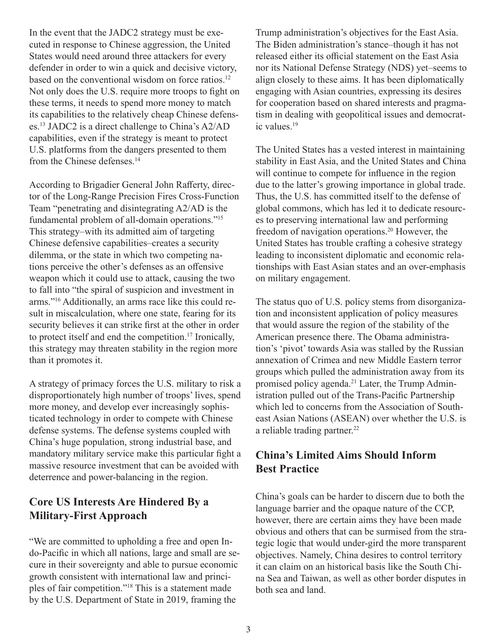In the event that the JADC2 strategy must be executed in response to Chinese aggression, the United States would need around three attackers for every defender in order to win a quick and decisive victory, based on the conventional wisdom on force ratios.<sup>12</sup> Not only does the U.S. require more troops to fight on these terms, it needs to spend more money to match its capabilities to the relatively cheap Chinese defenses.13 JADC2 is a direct challenge to China's A2/AD capabilities, even if the strategy is meant to protect U.S. platforms from the dangers presented to them from the Chinese defenses.<sup>14</sup>

According to Brigadier General John Rafferty, director of the Long-Range Precision Fires Cross-Function Team "penetrating and disintegrating A2/AD is the fundamental problem of all-domain operations."15 This strategy–with its admitted aim of targeting Chinese defensive capabilities–creates a security dilemma, or the state in which two competing nations perceive the other's defenses as an offensive weapon which it could use to attack, causing the two to fall into "the spiral of suspicion and investment in arms."16 Additionally, an arms race like this could result in miscalculation, where one state, fearing for its security believes it can strike first at the other in order to protect itself and end the competition.17 Ironically, this strategy may threaten stability in the region more than it promotes it.

A strategy of primacy forces the U.S. military to risk a disproportionately high number of troops' lives, spend more money, and develop ever increasingly sophisticated technology in order to compete with Chinese defense systems. The defense systems coupled with China's huge population, strong industrial base, and mandatory military service make this particular fight a massive resource investment that can be avoided with deterrence and power-balancing in the region.

### **Core US Interests Are Hindered By a Military-First Approach**

"We are committed to upholding a free and open Indo-Pacific in which all nations, large and small are secure in their sovereignty and able to pursue economic growth consistent with international law and principles of fair competition."18 This is a statement made by the U.S. Department of State in 2019, framing the

Trump administration's objectives for the East Asia. The Biden administration's stance–though it has not released either its official statement on the East Asia nor its National Defense Strategy (NDS) yet–seems to align closely to these aims. It has been diplomatically engaging with Asian countries, expressing its desires for cooperation based on shared interests and pragmatism in dealing with geopolitical issues and democratic values.19

The United States has a vested interest in maintaining stability in East Asia, and the United States and China will continue to compete for influence in the region due to the latter's growing importance in global trade. Thus, the U.S. has committed itself to the defense of global commons, which has led it to dedicate resources to preserving international law and performing freedom of navigation operations.20 However, the United States has trouble crafting a cohesive strategy leading to inconsistent diplomatic and economic relationships with East Asian states and an over-emphasis on military engagement.

The status quo of U.S. policy stems from disorganization and inconsistent application of policy measures that would assure the region of the stability of the American presence there. The Obama administration's 'pivot' towards Asia was stalled by the Russian annexation of Crimea and new Middle Eastern terror groups which pulled the administration away from its promised policy agenda.21 Later, the Trump Administration pulled out of the Trans-Pacific Partnership which led to concerns from the Association of Southeast Asian Nations (ASEAN) over whether the U.S. is a reliable trading partner.<sup>22</sup>

#### **China's Limited Aims Should Inform Best Practice**

China's goals can be harder to discern due to both the language barrier and the opaque nature of the CCP, however, there are certain aims they have been made obvious and others that can be surmised from the strategic logic that would under-gird the more transparent objectives. Namely, China desires to control territory it can claim on an historical basis like the South China Sea and Taiwan, as well as other border disputes in both sea and land.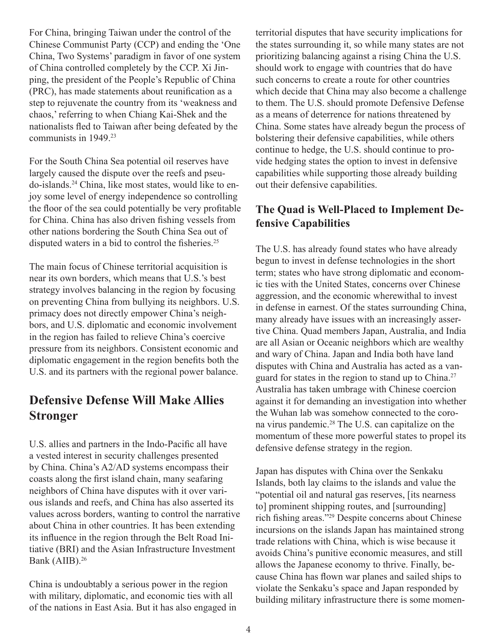For China, bringing Taiwan under the control of the Chinese Communist Party (CCP) and ending the 'One China, Two Systems' paradigm in favor of one system of China controlled completely by the CCP. Xi Jinping, the president of the People's Republic of China (PRC), has made statements about reunification as a step to rejuvenate the country from its 'weakness and chaos,' referring to when Chiang Kai-Shek and the nationalists fled to Taiwan after being defeated by the communists in 1949.23

For the South China Sea potential oil reserves have largely caused the dispute over the reefs and pseudo-islands.24 China, like most states, would like to enjoy some level of energy independence so controlling the floor of the sea could potentially be very profitable for China. China has also driven fishing vessels from other nations bordering the South China Sea out of disputed waters in a bid to control the fisheries.<sup>25</sup>

The main focus of Chinese territorial acquisition is near its own borders, which means that U.S.'s best strategy involves balancing in the region by focusing on preventing China from bullying its neighbors. U.S. primacy does not directly empower China's neighbors, and U.S. diplomatic and economic involvement in the region has failed to relieve China's coercive pressure from its neighbors. Consistent economic and diplomatic engagement in the region benefits both the U.S. and its partners with the regional power balance.

### **Defensive Defense Will Make Allies Stronger**

U.S. allies and partners in the Indo-Pacific all have a vested interest in security challenges presented by China. China's A2/AD systems encompass their coasts along the first island chain, many seafaring neighbors of China have disputes with it over various islands and reefs, and China has also asserted its values across borders, wanting to control the narrative about China in other countries. It has been extending its influence in the region through the Belt Road Initiative (BRI) and the Asian Infrastructure Investment Bank (AIIB).<sup>26</sup>

China is undoubtably a serious power in the region with military, diplomatic, and economic ties with all of the nations in East Asia. But it has also engaged in territorial disputes that have security implications for the states surrounding it, so while many states are not prioritizing balancing against a rising China the U.S. should work to engage with countries that do have such concerns to create a route for other countries which decide that China may also become a challenge to them. The U.S. should promote Defensive Defense as a means of deterrence for nations threatened by China. Some states have already begun the process of bolstering their defensive capabilities, while others continue to hedge, the U.S. should continue to provide hedging states the option to invest in defensive capabilities while supporting those already building out their defensive capabilities.

#### **The Quad is Well-Placed to Implement Defensive Capabilities**

The U.S. has already found states who have already begun to invest in defense technologies in the short term; states who have strong diplomatic and economic ties with the United States, concerns over Chinese aggression, and the economic wherewithal to invest in defense in earnest. Of the states surrounding China, many already have issues with an increasingly assertive China. Quad members Japan, Australia, and India are all Asian or Oceanic neighbors which are wealthy and wary of China. Japan and India both have land disputes with China and Australia has acted as a vanguard for states in the region to stand up to China.<sup>27</sup> Australia has taken umbrage with Chinese coercion against it for demanding an investigation into whether the Wuhan lab was somehow connected to the corona virus pandemic.28 The U.S. can capitalize on the momentum of these more powerful states to propel its defensive defense strategy in the region.

Japan has disputes with China over the Senkaku Islands, both lay claims to the islands and value the "potential oil and natural gas reserves, [its nearness to] prominent shipping routes, and [surrounding] rich fishing areas."29 Despite concerns about Chinese incursions on the islands Japan has maintained strong trade relations with China, which is wise because it avoids China's punitive economic measures, and still allows the Japanese economy to thrive. Finally, because China has flown war planes and sailed ships to violate the Senkaku's space and Japan responded by building military infrastructure there is some momen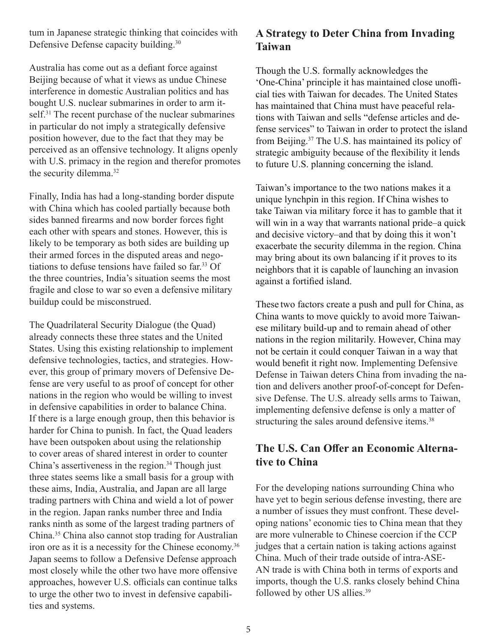tum in Japanese strategic thinking that coincides with Defensive Defense capacity building.<sup>30</sup>

Australia has come out as a defiant force against Beijing because of what it views as undue Chinese interference in domestic Australian politics and has bought U.S. nuclear submarines in order to arm itself.<sup>31</sup> The recent purchase of the nuclear submarines in particular do not imply a strategically defensive position however, due to the fact that they may be perceived as an offensive technology. It aligns openly with U.S. primacy in the region and therefor promotes the security dilemma.<sup>32</sup>

Finally, India has had a long-standing border dispute with China which has cooled partially because both sides banned firearms and now border forces fight each other with spears and stones. However, this is likely to be temporary as both sides are building up their armed forces in the disputed areas and negotiations to defuse tensions have failed so far.<sup>33</sup> Of the three countries, India's situation seems the most fragile and close to war so even a defensive military buildup could be misconstrued.

The Quadrilateral Security Dialogue (the Quad) already connects these three states and the United States. Using this existing relationship to implement defensive technologies, tactics, and strategies. However, this group of primary movers of Defensive Defense are very useful to as proof of concept for other nations in the region who would be willing to invest in defensive capabilities in order to balance China. If there is a large enough group, then this behavior is harder for China to punish. In fact, the Quad leaders have been outspoken about using the relationship to cover areas of shared interest in order to counter China's assertiveness in the region.<sup>34</sup> Though just three states seems like a small basis for a group with these aims, India, Australia, and Japan are all large trading partners with China and wield a lot of power in the region. Japan ranks number three and India ranks ninth as some of the largest trading partners of China.<sup>35</sup> China also cannot stop trading for Australian iron ore as it is a necessity for the Chinese economy.<sup>36</sup> Japan seems to follow a Defensive Defense approach most closely while the other two have more offensive approaches, however U.S. officials can continue talks to urge the other two to invest in defensive capabilities and systems.

#### **A Strategy to Deter China from Invading Taiwan**

Though the U.S. formally acknowledges the 'One-China' principle it has maintained close unofficial ties with Taiwan for decades. The United States has maintained that China must have peaceful relations with Taiwan and sells "defense articles and defense services" to Taiwan in order to protect the island from Beijing.<sup>37</sup> The U.S. has maintained its policy of strategic ambiguity because of the flexibility it lends to future U.S. planning concerning the island.

Taiwan's importance to the two nations makes it a unique lynchpin in this region. If China wishes to take Taiwan via military force it has to gamble that it will win in a way that warrants national pride–a quick and decisive victory–and that by doing this it won't exacerbate the security dilemma in the region. China may bring about its own balancing if it proves to its neighbors that it is capable of launching an invasion against a fortified island.

These two factors create a push and pull for China, as China wants to move quickly to avoid more Taiwanese military build-up and to remain ahead of other nations in the region militarily. However, China may not be certain it could conquer Taiwan in a way that would benefit it right now. Implementing Defensive Defense in Taiwan deters China from invading the nation and delivers another proof-of-concept for Defensive Defense. The U.S. already sells arms to Taiwan, implementing defensive defense is only a matter of structuring the sales around defensive items.<sup>38</sup>

### **The U.S. Can Offer an Economic Alternative to China**

For the developing nations surrounding China who have yet to begin serious defense investing, there are a number of issues they must confront. These developing nations' economic ties to China mean that they are more vulnerable to Chinese coercion if the CCP judges that a certain nation is taking actions against China. Much of their trade outside of intra-ASE-AN trade is with China both in terms of exports and imports, though the U.S. ranks closely behind China followed by other US allies.39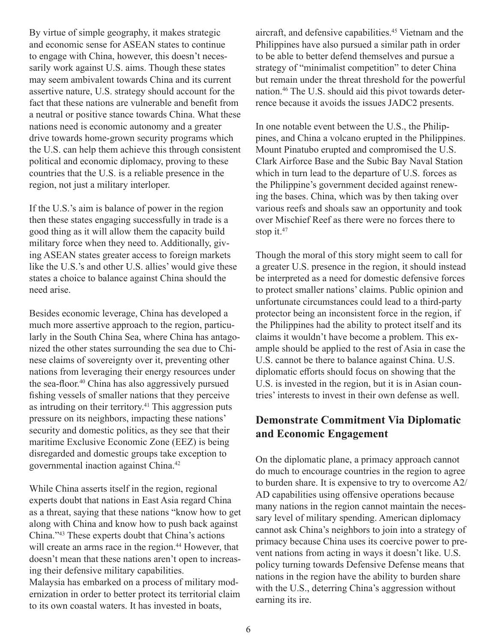By virtue of simple geography, it makes strategic and economic sense for ASEAN states to continue to engage with China, however, this doesn't necessarily work against U.S. aims. Though these states may seem ambivalent towards China and its current assertive nature, U.S. strategy should account for the fact that these nations are vulnerable and benefit from a neutral or positive stance towards China. What these nations need is economic autonomy and a greater drive towards home-grown security programs which the U.S. can help them achieve this through consistent political and economic diplomacy, proving to these countries that the U.S. is a reliable presence in the region, not just a military interloper.

If the U.S.'s aim is balance of power in the region then these states engaging successfully in trade is a good thing as it will allow them the capacity build military force when they need to. Additionally, giving ASEAN states greater access to foreign markets like the U.S.'s and other U.S. allies' would give these states a choice to balance against China should the need arise.

Besides economic leverage, China has developed a much more assertive approach to the region, particularly in the South China Sea, where China has antagonized the other states surrounding the sea due to Chinese claims of sovereignty over it, preventing other nations from leveraging their energy resources under the sea-floor.<sup>40</sup> China has also aggressively pursued fishing vessels of smaller nations that they perceive as intruding on their territory.41 This aggression puts pressure on its neighbors, impacting these nations' security and domestic politics, as they see that their maritime Exclusive Economic Zone (EEZ) is being disregarded and domestic groups take exception to governmental inaction against China.42

While China asserts itself in the region, regional experts doubt that nations in East Asia regard China as a threat, saying that these nations "know how to get along with China and know how to push back against China."<sup>43</sup> These experts doubt that China's actions will create an arms race in the region.<sup>44</sup> However, that doesn't mean that these nations aren't open to increasing their defensive military capabilities.

Malaysia has embarked on a process of military modernization in order to better protect its territorial claim to its own coastal waters. It has invested in boats,

aircraft, and defensive capabilities.<sup>45</sup> Vietnam and the Philippines have also pursued a similar path in order to be able to better defend themselves and pursue a strategy of "minimalist competition" to deter China but remain under the threat threshold for the powerful nation.46 The U.S. should aid this pivot towards deterrence because it avoids the issues JADC2 presents.

In one notable event between the U.S., the Philippines, and China a volcano erupted in the Philippines. Mount Pinatubo erupted and compromised the U.S. Clark Airforce Base and the Subic Bay Naval Station which in turn lead to the departure of U.S. forces as the Philippine's government decided against renewing the bases. China, which was by then taking over various reefs and shoals saw an opportunity and took over Mischief Reef as there were no forces there to stop it.<sup>47</sup>

Though the moral of this story might seem to call for a greater U.S. presence in the region, it should instead be interpreted as a need for domestic defensive forces to protect smaller nations' claims. Public opinion and unfortunate circumstances could lead to a third-party protector being an inconsistent force in the region, if the Philippines had the ability to protect itself and its claims it wouldn't have become a problem. This example should be applied to the rest of Asia in case the U.S. cannot be there to balance against China. U.S. diplomatic efforts should focus on showing that the U.S. is invested in the region, but it is in Asian countries' interests to invest in their own defense as well.

#### **Demonstrate Commitment Via Diplomatic and Economic Engagement**

On the diplomatic plane, a primacy approach cannot do much to encourage countries in the region to agree to burden share. It is expensive to try to overcome A2/ AD capabilities using offensive operations because many nations in the region cannot maintain the necessary level of military spending. American diplomacy cannot ask China's neighbors to join into a strategy of primacy because China uses its coercive power to prevent nations from acting in ways it doesn't like. U.S. policy turning towards Defensive Defense means that nations in the region have the ability to burden share with the U.S., deterring China's aggression without earning its ire.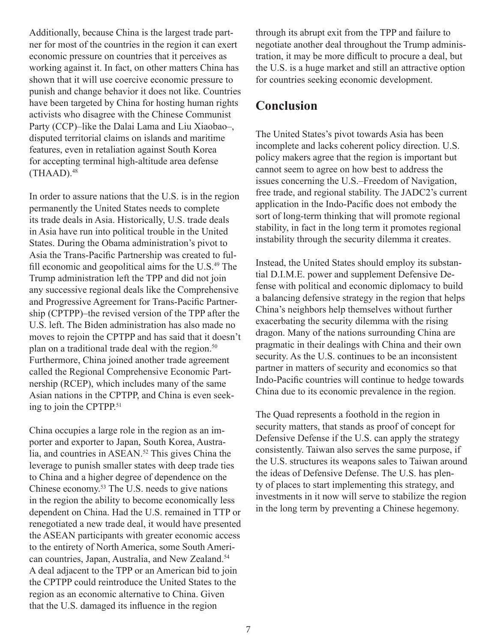Additionally, because China is the largest trade partner for most of the countries in the region it can exert economic pressure on countries that it perceives as working against it. In fact, on other matters China has shown that it will use coercive economic pressure to punish and change behavior it does not like. Countries have been targeted by China for hosting human rights activists who disagree with the Chinese Communist Party (CCP)–like the Dalai Lama and Liu Xiaobao–, disputed territorial claims on islands and maritime features, even in retaliation against South Korea for accepting terminal high-altitude area defense  $(THAAD).<sup>48</sup>$ 

In order to assure nations that the U.S. is in the region permanently the United States needs to complete its trade deals in Asia. Historically, U.S. trade deals in Asia have run into political trouble in the United States. During the Obama administration's pivot to Asia the Trans-Pacific Partnership was created to fulfill economic and geopolitical aims for the U.S.<sup>49</sup> The Trump administration left the TPP and did not join any successive regional deals like the Comprehensive and Progressive Agreement for Trans-Pacific Partnership (CPTPP)–the revised version of the TPP after the U.S. left. The Biden administration has also made no moves to rejoin the CPTPP and has said that it doesn't plan on a traditional trade deal with the region.<sup>50</sup> Furthermore, China joined another trade agreement called the Regional Comprehensive Economic Partnership (RCEP), which includes many of the same Asian nations in the CPTPP, and China is even seeking to join the CPTPP.51

China occupies a large role in the region as an importer and exporter to Japan, South Korea, Australia, and countries in ASEAN.<sup>52</sup> This gives China the leverage to punish smaller states with deep trade ties to China and a higher degree of dependence on the Chinese economy.<sup>53</sup> The U.S. needs to give nations in the region the ability to become economically less dependent on China. Had the U.S. remained in TTP or renegotiated a new trade deal, it would have presented the ASEAN participants with greater economic access to the entirety of North America, some South American countries, Japan, Australia, and New Zealand.<sup>54</sup> A deal adjacent to the TPP or an American bid to join the CPTPP could reintroduce the United States to the region as an economic alternative to China. Given that the U.S. damaged its influence in the region

through its abrupt exit from the TPP and failure to negotiate another deal throughout the Trump administration, it may be more difficult to procure a deal, but the U.S. is a huge market and still an attractive option for countries seeking economic development.

### **Conclusion**

The United States's pivot towards Asia has been incomplete and lacks coherent policy direction. U.S. policy makers agree that the region is important but cannot seem to agree on how best to address the issues concerning the U.S.–Freedom of Navigation, free trade, and regional stability. The JADC2's current application in the Indo-Pacific does not embody the sort of long-term thinking that will promote regional stability, in fact in the long term it promotes regional instability through the security dilemma it creates.

Instead, the United States should employ its substantial D.I.M.E. power and supplement Defensive Defense with political and economic diplomacy to build a balancing defensive strategy in the region that helps China's neighbors help themselves without further exacerbating the security dilemma with the rising dragon. Many of the nations surrounding China are pragmatic in their dealings with China and their own security. As the U.S. continues to be an inconsistent partner in matters of security and economics so that Indo-Pacific countries will continue to hedge towards China due to its economic prevalence in the region.

The Quad represents a foothold in the region in security matters, that stands as proof of concept for Defensive Defense if the U.S. can apply the strategy consistently. Taiwan also serves the same purpose, if the U.S. structures its weapons sales to Taiwan around the ideas of Defensive Defense. The U.S. has plenty of places to start implementing this strategy, and investments in it now will serve to stabilize the region in the long term by preventing a Chinese hegemony.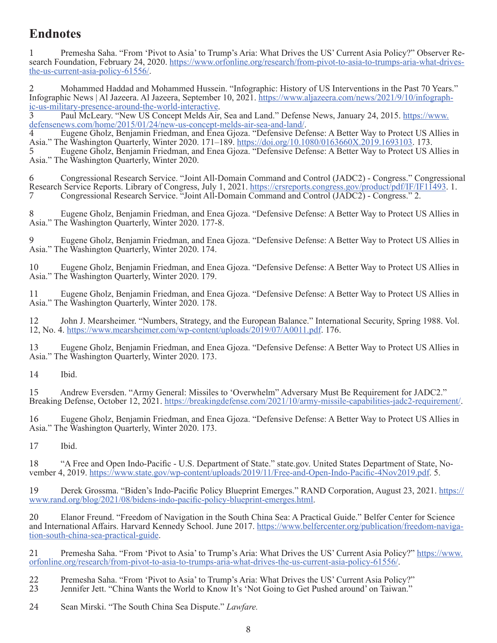## **Endnotes**

1 Premesha Saha. "From 'Pivot to Asia' to Trump's Aria: What Drives the US' Current Asia Policy?" Observer Research Foundation, February 24, 2020. https://www.orfonline.org/research/from-pivot-to-asia-to-trumps-aria-what-drivesthe-us-current-asia-policy-61556/.

2 Mohammed Haddad and Mohammed Hussein. "Infographic: History of US Interventions in the Past 70 Years."<br>Infographic News | Al Jazeera. Al Jazeera, September 10, 2021. https://www.aljazeera.com/news/2021/9/10/infograph-Infographic News | Al Jazeera. Al Jazeera, September 10, 2021. https://www.aljazeera.com/news/2021/9/10/infographic-us-military-presence-around-the-world-interactive.<br>3 Paul McLeary. "New US Concept Melds Air, Sea and Land

defensenews.com/home/2015/01/24/new-us-concept-melds-air-sea-and-land/.<br>4 Eugene Gholz, Benjamin Friedman, and Enea Gjoza. "Defensive Defense: A Better Way to Protect US Allies in Asia." The Washington Quarterly, Winter 2020. 171-189. https://doi.org/10.1080/0163660X.2019.1693103. 173. 5 Eugene Gholz, Benjamin Friedman, and Enea Gjoza. "Defensive Defense: A Better Way to Protect US Allies in

Asia." The Washington Quarterly, Winter 2020.

6 Congressional Research Service. "Joint All-Domain Command and Control (JADC2) - Congress." Congressional Research Service Reports. Library of Congress, July 1, 2021. https://crsreports.congress.gov/product/pdf/IF/IF11493. 1. 7 Congressional Research Service. "Joint All-Domain Command and Control (JADC2) - Congress." 2.

8 Eugene Gholz, Benjamin Friedman, and Enea Gjoza. "Defensive Defense: A Better Way to Protect US Allies in Asia." The Washington Quarterly, Winter 2020. 177-8.

9 Eugene Gholz, Benjamin Friedman, and Enea Gjoza. "Defensive Defense: A Better Way to Protect US Allies in Asia." The Washington Quarterly, Winter 2020. 174.

10 Eugene Gholz, Benjamin Friedman, and Enea Gjoza. "Defensive Defense: A Better Way to Protect US Allies in Asia." The Washington Quarterly, Winter 2020. 179.

11 Eugene Gholz, Benjamin Friedman, and Enea Gjoza. "Defensive Defense: A Better Way to Protect US Allies in Asia." The Washington Quarterly, Winter 2020. 178.

12 John J. Mearsheimer. "Numbers, Strategy, and the European Balance." International Security, Spring 1988. Vol. 12, No. 4. https://www.mearsheimer.com/wp-content/uploads/2019/07/A0011.pdf. 176.

13 Eugene Gholz, Benjamin Friedman, and Enea Gjoza. "Defensive Defense: A Better Way to Protect US Allies in Asia." The Washington Quarterly, Winter 2020. 173.

14 Ibid.

15 Andrew Eversden. "Army General: Missiles to 'Overwhelm" Adversary Must Be Requirement for JADC2." Breaking Defense, October 12, 2021. https://breakingdefense.com/2021/10/army-missile-capabilities-jadc2-requirement/.

16 Eugene Gholz, Benjamin Friedman, and Enea Gjoza. "Defensive Defense: A Better Way to Protect US Allies in Asia." The Washington Quarterly, Winter 2020. 173.

17 Ibid.

18 "A Free and Open Indo-Pacific - U.S. Department of State." state.gov. United States Department of State, November 4, 2019. https://www.state.gov/wp-content/uploads/2019/11/Free-and-Open-Indo-Pacific-4Nov2019.pdf. 5.

19 Derek Grossma. "Biden's Indo-Pacific Policy Blueprint Emerges." RAND Corporation, August 23, 2021. https:// www.rand.org/blog/2021/08/bidens-indo-pacific-policy-blueprint-emerges.html.

20 Elanor Freund. "Freedom of Navigation in the South China Sea: A Practical Guide." Belfer Center for Science and International Affairs. Harvard Kennedy School. June 2017. https://www.belfercenter.org/publication/freedom-naviga-<br>tion-south-china-sea-practical-guide.

21 Premesha Saha. "From 'Pivot to Asia' to Trump's Aria: What Drives the US' Current Asia Policy?" https://www. orfonline.org/research/from-pivot-to-asia-to-trumps-aria-what-drives-the-us-current-asia-policy-61556/.

22 Premesha Saha. "From 'Pivot to Asia' to Trump's Aria: What Drives the US' Current Asia Policy?"<br>23 Jennifer Jett. "China Wants the World to Know It's 'Not Going to Get Pushed around' on Taiwan."

23 Jennifer Jett. "China Wants the World to Know It's 'Not Going to Get Pushed around' on Taiwan."

24 Sean Mirski. "The South China Sea Dispute." *Lawfare.*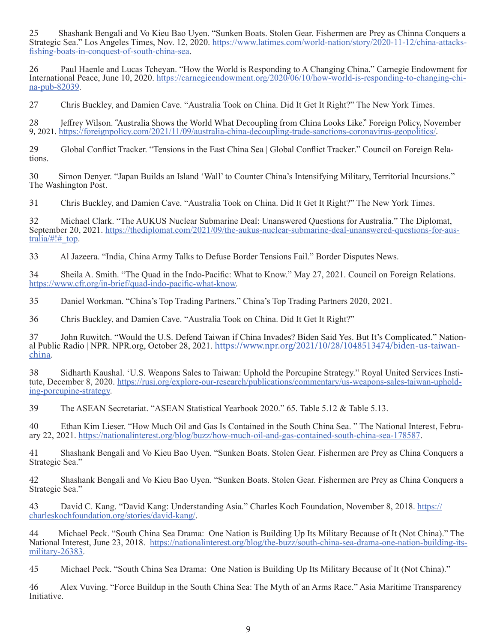25 Shashank Bengali and Vo Kieu Bao Uyen. "Sunken Boats. Stolen Gear. Fishermen are Prey as Chinna Conquers a Strategic Sea." Los Angeles Times, Nov. 12, 2020. https://www.latimes.com/world-nation/story/2020-11-12/china-attacksfishing-boats-in-conquest-of-south-china-sea.

26 Paul Haenle and Lucas Tcheyan. "How the World is Responding to A Changing China." Carnegie Endowment for International Peace, June 10, 2020. https://carnegieendowment.org/2020/06/10/how-world-is-responding-to-changing-chi- na-pub-82039.

27 Chris Buckley, and Damien Cave. "Australia Took on China. Did It Get It Right?" The New York Times.

28 Jeffrey Wilson. "Australia Shows the World What Decoupling from China Looks Like." Foreign Policy, November 9, 2021. https://foreignpolicy.com/2021/11/09/australia-china-decoupling-trade-sanctions-coronavirus-geopolitics/.

<sup>29</sup> Global Conflict Tracker. "Tensions in the East China Sea | Global Conflict Tracker." Council on Foreign Rela- tions.

30 Simon Denyer. "Japan Builds an Island 'Wall' to Counter China's Intensifying Military, Territorial Incursions." The Washington Post.

31 Chris Buckley, and Damien Cave. "Australia Took on China. Did It Get It Right?" The New York Times.

32 Michael Clark. "The AUKUS Nuclear Submarine Deal: Unanswered Questions for Australia." The Diplomat, September 20, 2021. https://thediplomat.com/2021/09/the-aukus-nuclear-submarine-deal-unanswered-questions-for-australia/ $\#! \#$  top.

33 Al Jazeera. "India, China Army Talks to Defuse Border Tensions Fail." Border Disputes News.

34 Sheila A. Smith. "The Quad in the Indo-Pacific: What to Know." May 27, 2021. Council on Foreign Relations. https://www.cfr.org/in-brief/quad-indo-pacific-what-know.

35 Daniel Workman. "China's Top Trading Partners." China's Top Trading Partners 2020, 2021.

36 Chris Buckley, and Damien Cave. "Australia Took on China. Did It Get It Right?"

37 John Ruwitch. "Would the U.S. Defend Taiwan if China Invades? Biden Said Yes. But It's Complicated." National Public Radio | NPR. NPR.org, October 28, 2021. https://www.npr.org/2021/10/28/1048513474/biden-us-taiwan-china.

38 Sidharth Kaushal. 'U.S. Weapons Sales to Taiwan: Uphold the Porcupine Strategy." Royal United Services Institute, December 8, 2020. https://rusi.org/explore-our-research/publications/commentary/us-weapons-sales-taiwan-u

39 The ASEAN Secretariat. "ASEAN Statistical Yearbook 2020." 65. Table 5.12 & Table 5.13.

40 Ethan Kim Lieser. "How Much Oil and Gas Is Contained in the South China Sea. " The National Interest, Febru-<br>ary 22, 2021. https://nationalinterest.org/blog/buzz/how-much-oil-and-gas-contained-south-china-sea-178587.

41 Shashank Bengali and Vo Kieu Bao Uyen. "Sunken Boats. Stolen Gear. Fishermen are Prey as China Conquers a Strategic Sea."

42 Shashank Bengali and Vo Kieu Bao Uyen. "Sunken Boats. Stolen Gear. Fishermen are Prey as China Conquers a Strategic Sea."

43 David C. Kang. "David Kang: Understanding Asia." Charles Koch Foundation, November 8, 2018. https:// charleskochfoundation.org/stories/david-kang/.

44 Michael Peck. "South China Sea Drama: One Nation is Building Up Its Military Because of It (Not China)." The National Interest, June 23, 2018. https://nationalinterest.org/blog/the-buzz/south-china-sea-drama-one-nation-building-itsmilitary-26383.

45 Michael Peck. "South China Sea Drama: One Nation is Building Up Its Military Because of It (Not China)."

46 Alex Vuving. "Force Buildup in the South China Sea: The Myth of an Arms Race." Asia Maritime Transparency Initiative.